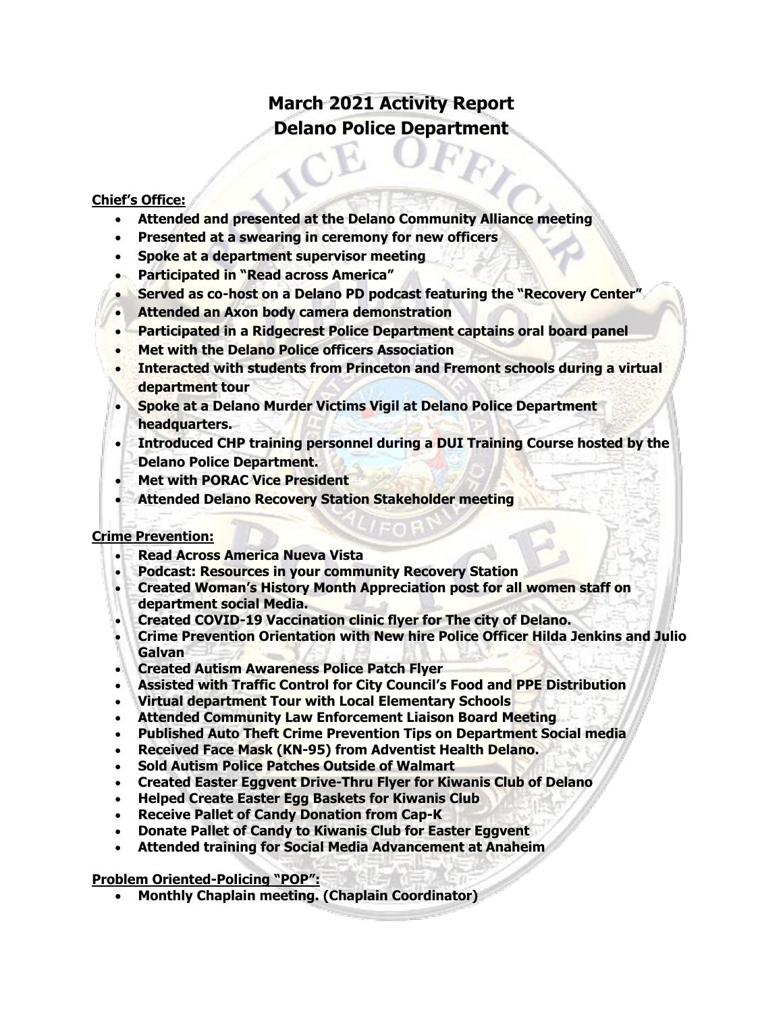# **March 2021 Activity Report Delano Police Department**

### **Chief's Office:**

- **Attended and presented at the Delano Community Alliance meeting**
- **Presented at a swearing in ceremony for new officers**
- **Spoke at a department supervisor meeting**
- **Participated in "Read across America"**
- **Served as co-host on a Delano PD podcast featuring the "Recovery Center"**
- **Attended an Axon body camera demonstration**
- **Participated in a Ridgecrest Police Department captains oral board panel**
- **Met with the Delano Police officers Association**
- **Interacted with students from Princeton and Fremont schools during a virtual department tour**
- **Spoke at a Delano Murder Victims Vigil at Delano Police Department headquarters.**
- **Introduced CHP training personnel during a DUI Training Course hosted by the Delano Police Department.**
- **Met with PORAC Vice President**
- **Attended Delano Recovery Station Stakeholder meeting**

#### **Crime Prevention:**

- **Read Across America Nueva Vista**
- **Podcast: Resources in your community Recovery Station**
- **Created Woman's History Month Appreciation post for all women staff on department social Media.**
- **Created COVID-19 Vaccination clinic flyer for The city of Delano.**
- **Crime Prevention Orientation with New hire Police Officer Hilda Jenkins and Julio Galvan**
- **Created Autism Awareness Police Patch Flyer**
- **Assisted with Traffic Control for City Council's Food and PPE Distribution**
- **Virtual department Tour with Local Elementary Schools**
- **Attended Community Law Enforcement Liaison Board Meeting**
- **Published Auto Theft Crime Prevention Tips on Department Social media**
- **Received Face Mask (KN-95) from Adventist Health Delano.**
- **Sold Autism Police Patches Outside of Walmart**
- **Created Easter Eggvent Drive-Thru Flyer for Kiwanis Club of Delano**
- **Helped Create Easter Egg Baskets for Kiwanis Club**
- **Receive Pallet of Candy Donation from Cap-K**
- **Donate Pallet of Candy to Kiwanis Club for Easter Eggvent**
- **Attended training for Social Media Advancement at Anaheim**

#### **Problem Oriented-Policing "POP":**

• **Monthly Chaplain meeting. (Chaplain Coordinator)**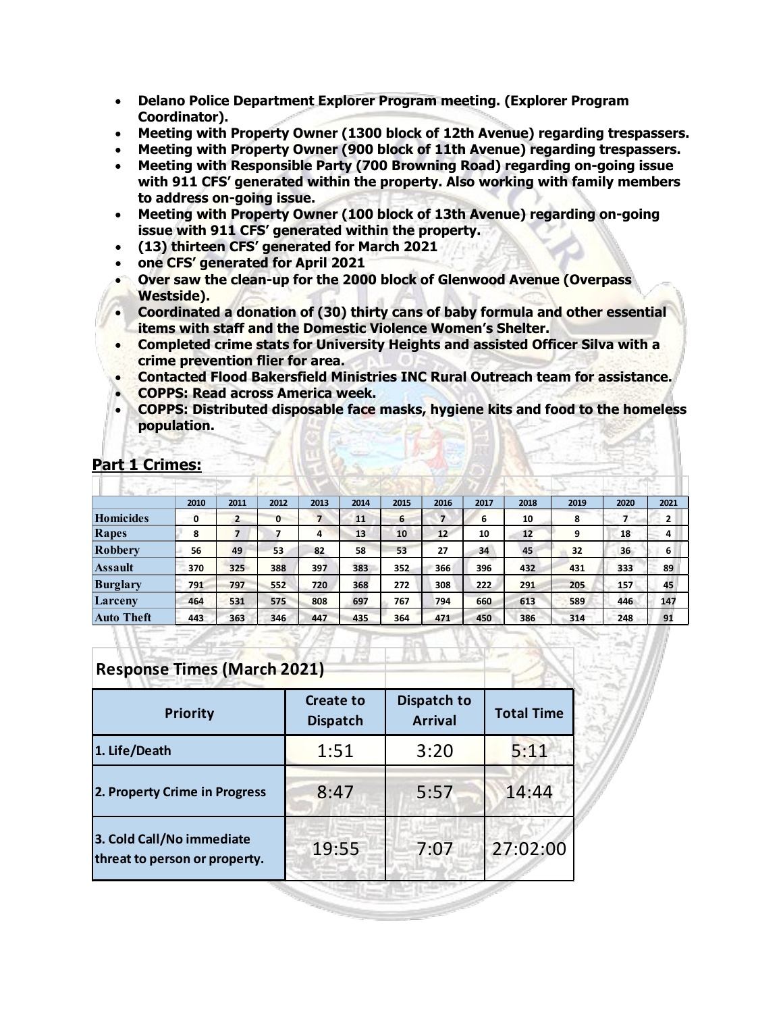- **Delano Police Department Explorer Program meeting. (Explorer Program Coordinator).**
- **Meeting with Property Owner (1300 block of 12th Avenue) regarding trespassers.**
- **Meeting with Property Owner (900 block of 11th Avenue) regarding trespassers.**
- **Meeting with Responsible Party (700 Browning Road) regarding on-going issue with 911 CFS' generated within the property. Also working with family members to address on-going issue.**
- **Meeting with Property Owner (100 block of 13th Avenue) regarding on-going issue with 911 CFS' generated within the property.**
- **(13) thirteen CFS' generated for March 2021**
- **one CFS' generated for April 2021**
- **Over saw the clean-up for the 2000 block of Glenwood Avenue (Overpass Westside).**
- **Coordinated a donation of (30) thirty cans of baby formula and other essential items with staff and the Domestic Violence Women's Shelter.**
- **Completed crime stats for University Heights and assisted Officer Silva with a crime prevention flier for area.**
- **Contacted Flood Bakersfield Ministries INC Rural Outreach team for assistance.**
- **COPPS: Read across America week.**
- **COPPS: Distributed disposable face masks, hygiene kits and food to the homeless population.**

|                   | 2010 | 2011           | 2012         | 2013 | 2014 | 2015 | 2016             | 2017 | 2018 | 2019 | 2020 | 2021         |
|-------------------|------|----------------|--------------|------|------|------|------------------|------|------|------|------|--------------|
| Homicides         | 0    | $\overline{2}$ | $\mathbf{0}$ | 7    | 11   | 6    | 7                | 6    | 10   | 8    |      | $\mathbf{2}$ |
| Rapes             | 8    |                |              | 4    | 13   | 10   | 12 <sup>12</sup> | 10   | 12   | 9    | 18   | 4            |
| Robbery           | 56   | 49             | 53           | 82   | 58   | 53   | 27               | 34   | 45   | 32   | 36   | 6            |
| Assault           | 370  | 325            | 388          | 397  | 383  | 352  | 366              | 396  | 432  | 431  | 333  | 89           |
| <b>Burglary</b>   | 791  | 797            | 552          | 720  | 368  | 272  | 308              | 222  | 291  | 205  | 157  | 45           |
| Larceny           | 464  | 531            | 575          | 808  | 697  | 767  | 794              | 660  | 613  | 589  | 446  | 147          |
| <b>Auto Theft</b> | 443  | 363            | 346          | 447  | 435  | 364  | 471              | 450  | 386  | 314  | 248  | 91           |

## **Part 1 Crimes:**

# **Response Times (March 2021)**

| <b>Priority</b>                                            | <b>Create to</b><br><b>Dispatch</b> | Dispatch to<br><b>Arrival</b> | <b>Total Time</b> |  |
|------------------------------------------------------------|-------------------------------------|-------------------------------|-------------------|--|
| 1. Life/Death                                              | 1:51                                | 3:20                          | 5:11              |  |
| 2. Property Crime in Progress                              | 8:47                                | 5:57                          | 14:44             |  |
| 3. Cold Call/No immediate<br>threat to person or property. | 19:55                               | 7:07                          | 27:02:00          |  |
|                                                            |                                     |                               |                   |  |